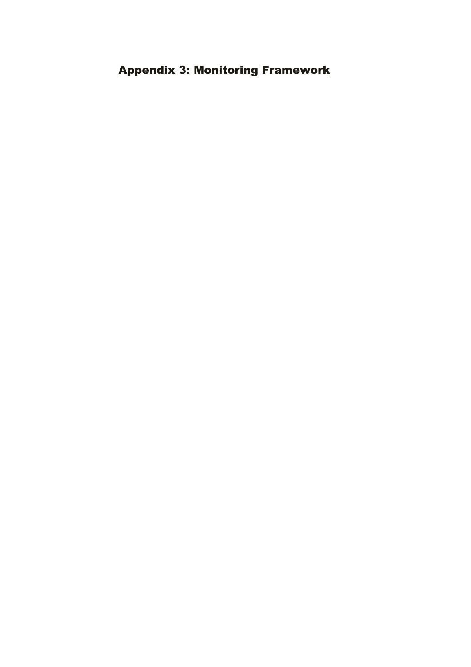## Appendix 3: Monitoring Framework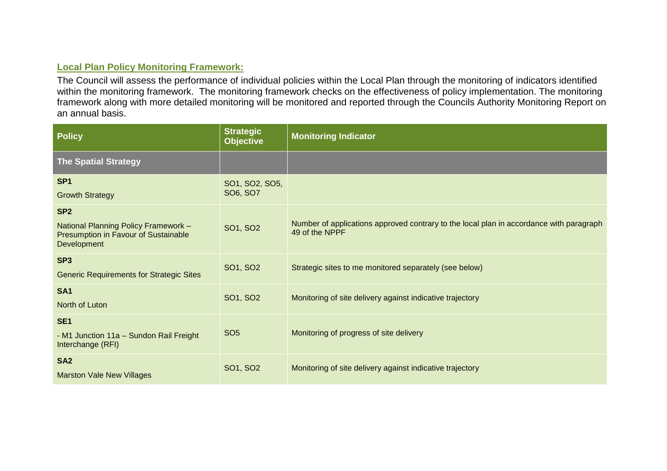## **Local Plan Policy Monitoring Framework:**

The Council will assess the performance of individual policies within the Local Plan through the monitoring of indicators identified within the monitoring framework. The monitoring framework checks on the effectiveness of policy implementation. The monitoring framework along with more detailed monitoring will be monitored and reported through the Councils Authority Monitoring Report on an annual basis.

| <b>Policy</b>                                                                                                  | <b>Strategic</b><br><b>Objective</b> | <b>Monitoring Indicator</b>                                                                               |
|----------------------------------------------------------------------------------------------------------------|--------------------------------------|-----------------------------------------------------------------------------------------------------------|
| <b>The Spatial Strategy</b>                                                                                    |                                      |                                                                                                           |
| SP <sub>1</sub><br><b>Growth Strategy</b>                                                                      | SO1, SO2, SO5,<br>SO6, SO7           |                                                                                                           |
| SP <sub>2</sub><br>National Planning Policy Framework -<br>Presumption in Favour of Sustainable<br>Development | SO1, SO2                             | Number of applications approved contrary to the local plan in accordance with paragraph<br>49 of the NPPF |
| SP <sub>3</sub><br><b>Generic Requirements for Strategic Sites</b>                                             | SO1, SO2                             | Strategic sites to me monitored separately (see below)                                                    |
| <b>SA1</b><br>North of Luton                                                                                   | SO1, SO2                             | Monitoring of site delivery against indicative trajectory                                                 |
| SE <sub>1</sub><br>- M1 Junction 11a - Sundon Rail Freight<br>Interchange (RFI)                                | SO <sub>5</sub>                      | Monitoring of progress of site delivery                                                                   |
| SA <sub>2</sub><br><b>Marston Vale New Villages</b>                                                            | SO1, SO2                             | Monitoring of site delivery against indicative trajectory                                                 |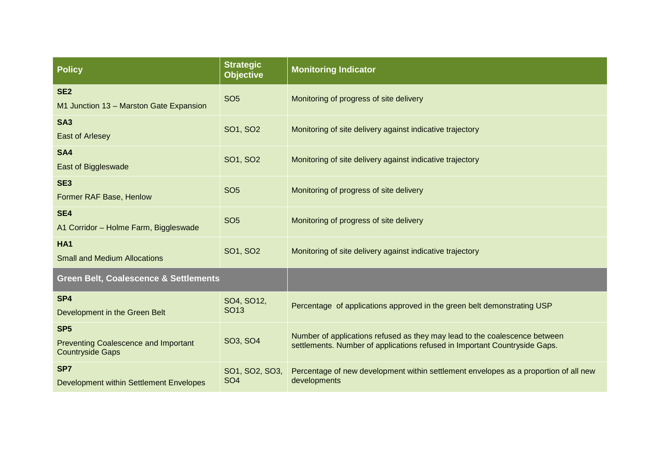| <b>Policy</b>                                                                             | <b>Strategic</b><br><b>Objective</b> | <b>Monitoring Indicator</b>                                                                                                                              |
|-------------------------------------------------------------------------------------------|--------------------------------------|----------------------------------------------------------------------------------------------------------------------------------------------------------|
| SE <sub>2</sub><br>M1 Junction 13 - Marston Gate Expansion                                | SO <sub>5</sub>                      | Monitoring of progress of site delivery                                                                                                                  |
| SA <sub>3</sub><br><b>East of Arlesey</b>                                                 | SO1, SO2                             | Monitoring of site delivery against indicative trajectory                                                                                                |
| SA4<br>East of Biggleswade                                                                | SO1, SO2                             | Monitoring of site delivery against indicative trajectory                                                                                                |
| SE <sub>3</sub><br>Former RAF Base, Henlow                                                | SO <sub>5</sub>                      | Monitoring of progress of site delivery                                                                                                                  |
| SE4<br>A1 Corridor - Holme Farm, Biggleswade                                              | SO <sub>5</sub>                      | Monitoring of progress of site delivery                                                                                                                  |
| HA <sub>1</sub><br><b>Small and Medium Allocations</b>                                    | SO1, SO2                             | Monitoring of site delivery against indicative trajectory                                                                                                |
| <b>Green Belt, Coalescence &amp; Settlements</b>                                          |                                      |                                                                                                                                                          |
| SP <sub>4</sub><br>Development in the Green Belt                                          | SO4, SO12,<br>SO <sub>13</sub>       | Percentage of applications approved in the green belt demonstrating USP                                                                                  |
| SP <sub>5</sub><br><b>Preventing Coalescence and Important</b><br><b>Countryside Gaps</b> | SO3, SO4                             | Number of applications refused as they may lead to the coalescence between<br>settlements. Number of applications refused in Important Countryside Gaps. |
| SP7<br>Development within Settlement Envelopes                                            | SO1, SO2, SO3,<br>SO <sub>4</sub>    | Percentage of new development within settlement envelopes as a proportion of all new<br>developments                                                     |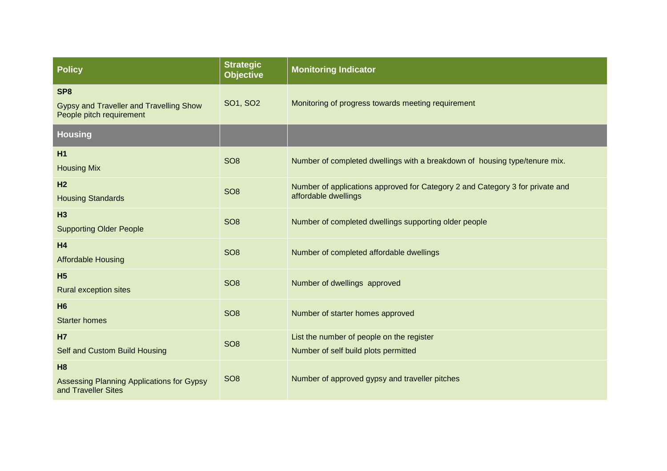| <b>Policy</b>                                                                          | <b>Strategic</b><br><b>Objective</b> | <b>Monitoring Indicator</b>                                                                           |
|----------------------------------------------------------------------------------------|--------------------------------------|-------------------------------------------------------------------------------------------------------|
| SP <sub>8</sub><br>Gypsy and Traveller and Travelling Show<br>People pitch requirement | SO1, SO2                             | Monitoring of progress towards meeting requirement                                                    |
| <b>Housing</b>                                                                         |                                      |                                                                                                       |
| H1<br><b>Housing Mix</b>                                                               | SO <sub>8</sub>                      | Number of completed dwellings with a breakdown of housing type/tenure mix.                            |
| H <sub>2</sub><br><b>Housing Standards</b>                                             | SO <sub>8</sub>                      | Number of applications approved for Category 2 and Category 3 for private and<br>affordable dwellings |
| H3<br><b>Supporting Older People</b>                                                   | SO <sub>8</sub>                      | Number of completed dwellings supporting older people                                                 |
| H <sub>4</sub><br><b>Affordable Housing</b>                                            | SO <sub>8</sub>                      | Number of completed affordable dwellings                                                              |
| H <sub>5</sub><br><b>Rural exception sites</b>                                         | SO <sub>8</sub>                      | Number of dwellings approved                                                                          |
| <b>H6</b><br><b>Starter homes</b>                                                      | SO <sub>8</sub>                      | Number of starter homes approved                                                                      |
| <b>H7</b><br>Self and Custom Build Housing                                             | SO <sub>8</sub>                      | List the number of people on the register<br>Number of self build plots permitted                     |
| H8<br><b>Assessing Planning Applications for Gypsy</b><br>and Traveller Sites          | SO <sub>8</sub>                      | Number of approved gypsy and traveller pitches                                                        |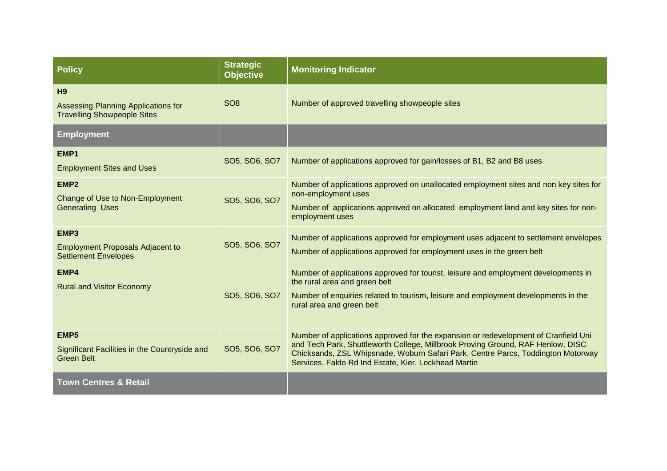| <b>Policy</b>                                                                               | <b>Strategic</b><br><b>Objective</b> | <b>Monitoring Indicator</b>                                                                                                                                                                                                                                                                                        |
|---------------------------------------------------------------------------------------------|--------------------------------------|--------------------------------------------------------------------------------------------------------------------------------------------------------------------------------------------------------------------------------------------------------------------------------------------------------------------|
| H <sub>9</sub><br>Assessing Planning Applications for<br><b>Travelling Showpeople Sites</b> | SO <sub>8</sub>                      | Number of approved travelling showpeople sites                                                                                                                                                                                                                                                                     |
| <b>Employment</b>                                                                           |                                      |                                                                                                                                                                                                                                                                                                                    |
| EMP <sub>1</sub><br><b>Employment Sites and Uses</b>                                        | SO5, SO6, SO7                        | Number of applications approved for gain/losses of B1, B2 and B8 uses                                                                                                                                                                                                                                              |
| EMP <sub>2</sub><br>Change of Use to Non-Employment<br><b>Generating Uses</b>               | SO5, SO6, SO7                        | Number of applications approved on unallocated employment sites and non key sites for<br>non-employment uses<br>Number of applications approved on allocated employment land and key sites for non-<br>employment uses                                                                                             |
| EMP3<br><b>Employment Proposals Adjacent to</b><br><b>Settlement Envelopes</b>              | SO5, SO6, SO7                        | Number of applications approved for employment uses adjacent to settlement envelopes<br>Number of applications approved for employment uses in the green belt                                                                                                                                                      |
| EMP4<br><b>Rural and Visitor Economy</b>                                                    | SO5, SO6, SO7                        | Number of applications approved for tourist, leisure and employment developments in<br>the rural area and green belt<br>Number of enquiries related to tourism, leisure and employment developments in the<br>rural area and green belt                                                                            |
| EMP <sub>5</sub><br>Significant Facilities in the Countryside and<br><b>Green Belt</b>      | SO5, SO6, SO7                        | Number of applications approved for the expansion or redevelopment of Cranfield Uni<br>and Tech Park, Shuttleworth College, Millbrook Proving Ground, RAF Henlow, DISC<br>Chicksands, ZSL Whipsnade, Woburn Safari Park, Centre Parcs, Toddington Motorway<br>Services, Faldo Rd Ind Estate, Kier, Lockhead Martin |
| <b>Town Centres &amp; Retail</b>                                                            |                                      |                                                                                                                                                                                                                                                                                                                    |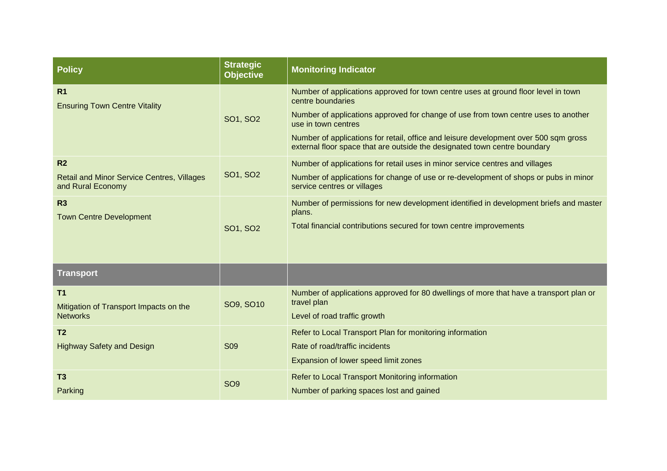| <b>Policy</b>                                                                            | <b>Strategic</b><br><b>Objective</b> | <b>Monitoring Indicator</b>                                                                                                                                                                                                                                                                                                                                                               |
|------------------------------------------------------------------------------------------|--------------------------------------|-------------------------------------------------------------------------------------------------------------------------------------------------------------------------------------------------------------------------------------------------------------------------------------------------------------------------------------------------------------------------------------------|
| R <sub>1</sub><br><b>Ensuring Town Centre Vitality</b>                                   | SO1, SO2                             | Number of applications approved for town centre uses at ground floor level in town<br>centre boundaries<br>Number of applications approved for change of use from town centre uses to another<br>use in town centres<br>Number of applications for retail, office and leisure development over 500 sqm gross<br>external floor space that are outside the designated town centre boundary |
| R <sub>2</sub><br><b>Retail and Minor Service Centres, Villages</b><br>and Rural Economy | SO1, SO2                             | Number of applications for retail uses in minor service centres and villages<br>Number of applications for change of use or re-development of shops or pubs in minor<br>service centres or villages                                                                                                                                                                                       |
| R <sub>3</sub><br><b>Town Centre Development</b>                                         | SO1, SO2                             | Number of permissions for new development identified in development briefs and master<br>plans.<br>Total financial contributions secured for town centre improvements                                                                                                                                                                                                                     |
| <b>Transport</b>                                                                         |                                      |                                                                                                                                                                                                                                                                                                                                                                                           |
| T1<br>Mitigation of Transport Impacts on the<br><b>Networks</b>                          | SO9, SO10                            | Number of applications approved for 80 dwellings of more that have a transport plan or<br>travel plan<br>Level of road traffic growth                                                                                                                                                                                                                                                     |
| T <sub>2</sub><br><b>Highway Safety and Design</b>                                       | S <sub>09</sub>                      | Refer to Local Transport Plan for monitoring information<br>Rate of road/traffic incidents<br>Expansion of lower speed limit zones                                                                                                                                                                                                                                                        |
| T <sub>3</sub><br>Parking                                                                | SO <sub>9</sub>                      | Refer to Local Transport Monitoring information<br>Number of parking spaces lost and gained                                                                                                                                                                                                                                                                                               |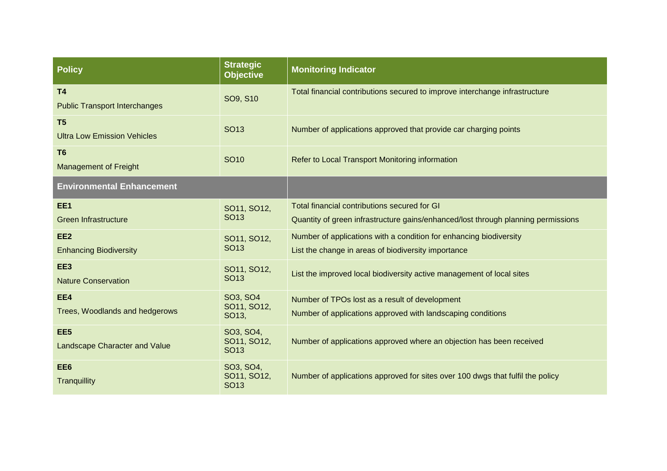| <b>Policy</b>                                           | <b>Strategic</b><br><b>Objective</b>         | <b>Monitoring Indicator</b>                                                                                                       |
|---------------------------------------------------------|----------------------------------------------|-----------------------------------------------------------------------------------------------------------------------------------|
| <b>T4</b><br><b>Public Transport Interchanges</b>       | SO9, S10                                     | Total financial contributions secured to improve interchange infrastructure                                                       |
| T <sub>5</sub><br><b>Ultra Low Emission Vehicles</b>    | <b>SO13</b>                                  | Number of applications approved that provide car charging points                                                                  |
| T <sub>6</sub><br><b>Management of Freight</b>          | <b>SO10</b>                                  | Refer to Local Transport Monitoring information                                                                                   |
| <b>Environmental Enhancement</b>                        |                                              |                                                                                                                                   |
| EE1<br><b>Green Infrastructure</b>                      | SO11, SO12,<br><b>SO13</b>                   | Total financial contributions secured for GI<br>Quantity of green infrastructure gains/enhanced/lost through planning permissions |
| EE <sub>2</sub><br><b>Enhancing Biodiversity</b>        | SO11, SO12,<br><b>SO13</b>                   | Number of applications with a condition for enhancing biodiversity<br>List the change in areas of biodiversity importance         |
| EE3<br><b>Nature Conservation</b>                       | SO11, SO12,<br>SO <sub>13</sub>              | List the improved local biodiversity active management of local sites                                                             |
| EE4<br>Trees, Woodlands and hedgerows                   | SO3, SO4<br>SO11, SO12,<br>SO13,             | Number of TPOs lost as a result of development<br>Number of applications approved with landscaping conditions                     |
| EE <sub>5</sub><br><b>Landscape Character and Value</b> | SO3, SO4,<br>SO11, SO12,<br>SO <sub>13</sub> | Number of applications approved where an objection has been received                                                              |
| EE <sub>6</sub><br>Tranquillity                         | SO3, SO4,<br>SO11, SO12,<br><b>SO13</b>      | Number of applications approved for sites over 100 dwgs that fulfil the policy                                                    |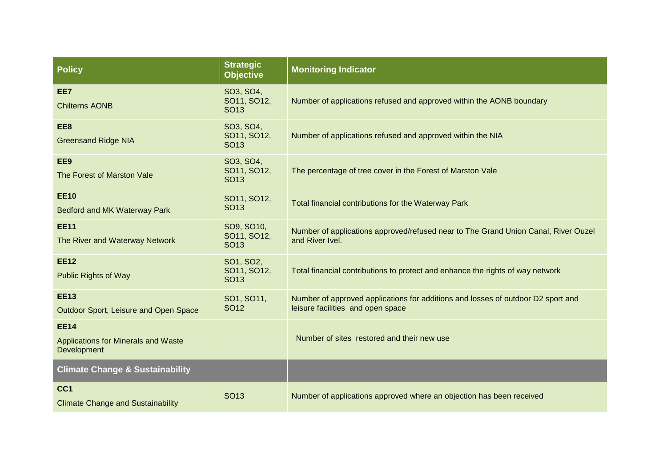| <b>Policy</b>                                                            | <b>Strategic</b><br><b>Objective</b>         | <b>Monitoring Indicator</b>                                                                                           |
|--------------------------------------------------------------------------|----------------------------------------------|-----------------------------------------------------------------------------------------------------------------------|
| EE7<br><b>Chilterns AONB</b>                                             | SO3, SO4,<br>SO11, SO12,<br>SO <sub>13</sub> | Number of applications refused and approved within the AONB boundary                                                  |
| EE8<br><b>Greensand Ridge NIA</b>                                        | SO3, SO4,<br>SO11, SO12,<br>SO <sub>13</sub> | Number of applications refused and approved within the NIA                                                            |
| EE9<br>The Forest of Marston Vale                                        | SO3, SO4,<br>SO11, SO12,<br>SO <sub>13</sub> | The percentage of tree cover in the Forest of Marston Vale                                                            |
| <b>EE10</b><br>Bedford and MK Waterway Park                              | SO11, SO12,<br>SO <sub>13</sub>              | Total financial contributions for the Waterway Park                                                                   |
| <b>EE11</b><br>The River and Waterway Network                            | SO9, SO10,<br>SO11, SO12,<br><b>SO13</b>     | Number of applications approved/refused near to The Grand Union Canal, River Ouzel<br>and River Ivel.                 |
| <b>EE12</b><br><b>Public Rights of Way</b>                               | SO1, SO2,<br>SO11, SO12,<br>SO <sub>13</sub> | Total financial contributions to protect and enhance the rights of way network                                        |
| <b>EE13</b><br>Outdoor Sport, Leisure and Open Space                     | SO1, SO11,<br>SO <sub>12</sub>               | Number of approved applications for additions and losses of outdoor D2 sport and<br>leisure facilities and open space |
| <b>EE14</b><br><b>Applications for Minerals and Waste</b><br>Development |                                              | Number of sites restored and their new use                                                                            |
| <b>Climate Change &amp; Sustainability</b>                               |                                              |                                                                                                                       |
| CC <sub>1</sub><br><b>Climate Change and Sustainability</b>              | <b>SO13</b>                                  | Number of applications approved where an objection has been received                                                  |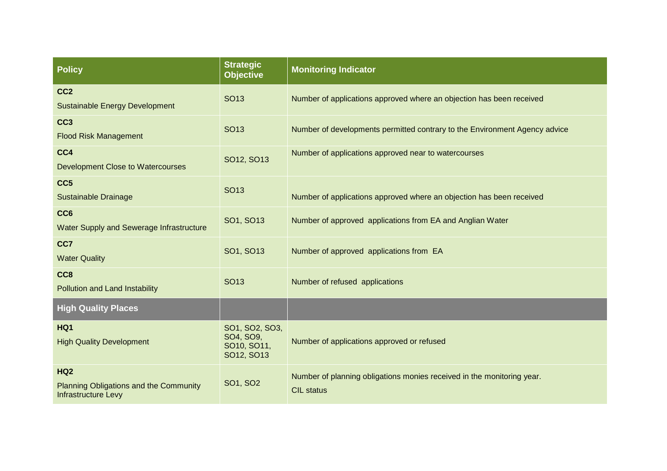| <b>Policy</b>                                                                             | <b>Strategic</b><br><b>Objective</b>                     | <b>Monitoring Indicator</b>                                                                 |
|-------------------------------------------------------------------------------------------|----------------------------------------------------------|---------------------------------------------------------------------------------------------|
| CC <sub>2</sub><br><b>Sustainable Energy Development</b>                                  | <b>SO13</b>                                              | Number of applications approved where an objection has been received                        |
| CC <sub>3</sub><br><b>Flood Risk Management</b>                                           | SO <sub>13</sub>                                         | Number of developments permitted contrary to the Environment Agency advice                  |
| CC4<br><b>Development Close to Watercourses</b>                                           | SO12, SO13                                               | Number of applications approved near to watercourses                                        |
| CC <sub>5</sub><br><b>Sustainable Drainage</b>                                            | <b>SO13</b>                                              | Number of applications approved where an objection has been received                        |
| CC <sub>6</sub><br><b>Water Supply and Sewerage Infrastructure</b>                        | SO1, SO13                                                | Number of approved applications from EA and Anglian Water                                   |
| CC7<br><b>Water Quality</b>                                                               | SO1, SO13                                                | Number of approved applications from EA                                                     |
| CC <sub>8</sub><br><b>Pollution and Land Instability</b>                                  | <b>SO13</b>                                              | Number of refused applications                                                              |
| <b>High Quality Places</b>                                                                |                                                          |                                                                                             |
| HQ1<br><b>High Quality Development</b>                                                    | SO1, SO2, SO3,<br>SO4, SO9,<br>SO10, SO11,<br>SO12, SO13 | Number of applications approved or refused                                                  |
| <b>HQ2</b><br><b>Planning Obligations and the Community</b><br><b>Infrastructure Levy</b> | SO1, SO2                                                 | Number of planning obligations monies received in the monitoring year.<br><b>CIL status</b> |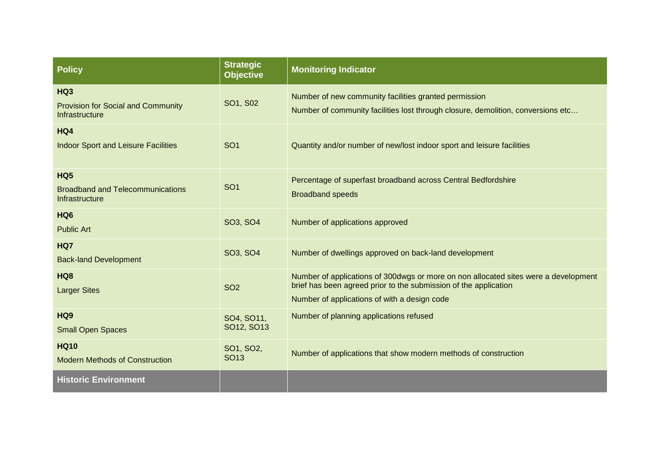| <b>Policy</b>                                                                | <b>Strategic</b><br><b>Objective</b> | <b>Monitoring Indicator</b>                                                                                                                                                                             |
|------------------------------------------------------------------------------|--------------------------------------|---------------------------------------------------------------------------------------------------------------------------------------------------------------------------------------------------------|
| HQ3<br><b>Provision for Social and Community</b><br>Infrastructure           | SO1, S02                             | Number of new community facilities granted permission<br>Number of community facilities lost through closure, demolition, conversions etc                                                               |
| HQ4<br><b>Indoor Sport and Leisure Facilities</b>                            | SO <sub>1</sub>                      | Quantity and/or number of new/lost indoor sport and leisure facilities                                                                                                                                  |
| HQ <sub>5</sub><br><b>Broadband and Telecommunications</b><br>Infrastructure | SO <sub>1</sub>                      | Percentage of superfast broadband across Central Bedfordshire<br><b>Broadband speeds</b>                                                                                                                |
| HQ <sub>6</sub><br><b>Public Art</b>                                         | SO3, SO4                             | Number of applications approved                                                                                                                                                                         |
| HQ7<br><b>Back-land Development</b>                                          | SO3, SO4                             | Number of dwellings approved on back-land development                                                                                                                                                   |
| HQ <sub>8</sub><br><b>Larger Sites</b>                                       | <b>SO2</b>                           | Number of applications of 300dwgs or more on non allocated sites were a development<br>brief has been agreed prior to the submission of the application<br>Number of applications of with a design code |
| HQ <sub>9</sub><br><b>Small Open Spaces</b>                                  | SO4, SO11,<br>SO12, SO13             | Number of planning applications refused                                                                                                                                                                 |
| <b>HQ10</b><br><b>Modern Methods of Construction</b>                         | SO1, SO2,<br><b>SO13</b>             | Number of applications that show modern methods of construction                                                                                                                                         |
| <b>Historic Environment</b>                                                  |                                      |                                                                                                                                                                                                         |